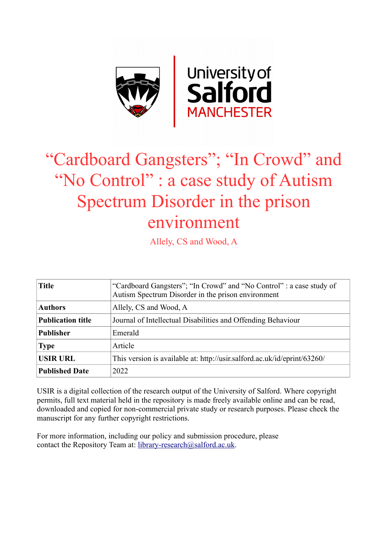

# "Cardboard Gangsters"; "In Crowd" and "No Control" : a case study of Autism Spectrum Disorder in the prison environment

Allely, CS and Wood, A

| <b>Title</b>             | "Cardboard Gangsters"; "In Crowd" and "No Control" : a case study of<br>Autism Spectrum Disorder in the prison environment |
|--------------------------|----------------------------------------------------------------------------------------------------------------------------|
| <b>Authors</b>           | Allely, CS and Wood, A                                                                                                     |
| <b>Publication title</b> | Journal of Intellectual Disabilities and Offending Behaviour                                                               |
| <b>Publisher</b>         | Emerald                                                                                                                    |
| <b>Type</b>              | Article                                                                                                                    |
| <b>USIR URL</b>          | This version is available at: http://usir.salford.ac.uk/id/eprint/63260/                                                   |
| <b>Published Date</b>    | 2022                                                                                                                       |

USIR is a digital collection of the research output of the University of Salford. Where copyright permits, full text material held in the repository is made freely available online and can be read, downloaded and copied for non-commercial private study or research purposes. Please check the manuscript for any further copyright restrictions.

For more information, including our policy and submission procedure, please contact the Repository Team at: [library-research@salford.ac.uk.](mailto:library-research@salford.ac.uk)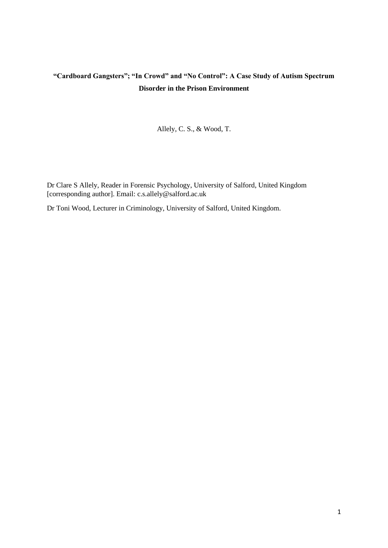# **"Cardboard Gangsters"; "In Crowd" and "No Control": A Case Study of Autism Spectrum Disorder in the Prison Environment**

Allely, C. S., & Wood, T.

Dr Clare S Allely, Reader in Forensic Psychology, University of Salford, United Kingdom [corresponding author]. Email: c.s.allely@salford.ac.uk

Dr Toni Wood, Lecturer in Criminology, University of Salford, United Kingdom.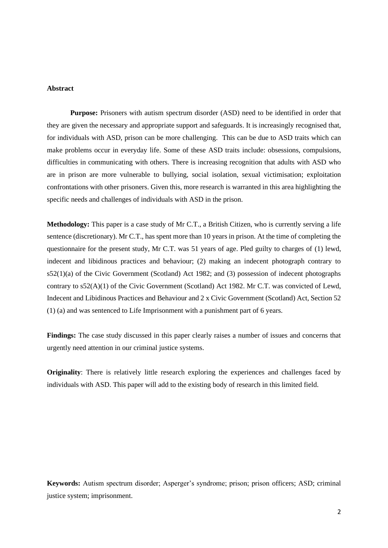# **Abstract**

**Purpose:** Prisoners with autism spectrum disorder (ASD) need to be identified in order that they are given the necessary and appropriate support and safeguards. It is increasingly recognised that, for individuals with ASD, prison can be more challenging. This can be due to ASD traits which can make problems occur in everyday life. Some of these ASD traits include: obsessions, compulsions, difficulties in communicating with others. There is increasing recognition that adults with ASD who are in prison are more vulnerable to bullying, social isolation, sexual victimisation; exploitation confrontations with other prisoners. Given this, more research is warranted in this area highlighting the specific needs and challenges of individuals with ASD in the prison.

**Methodology:** This paper is a case study of Mr C.T., a British Citizen, who is currently serving a life sentence (discretionary). Mr C.T., has spent more than 10 years in prison. At the time of completing the questionnaire for the present study, Mr C.T. was 51 years of age. Pled guilty to charges of (1) lewd, indecent and libidinous practices and behaviour; (2) making an indecent photograph contrary to s52(1)(a) of the Civic Government (Scotland) Act 1982; and (3) possession of indecent photographs contrary to s52(A)(1) of the Civic Government (Scotland) Act 1982. Mr C.T. was convicted of Lewd, Indecent and Libidinous Practices and Behaviour and 2 x Civic Government (Scotland) Act, Section 52 (1) (a) and was sentenced to Life Imprisonment with a punishment part of 6 years.

**Findings:** The case study discussed in this paper clearly raises a number of issues and concerns that urgently need attention in our criminal justice systems.

**Originality**: There is relatively little research exploring the experiences and challenges faced by individuals with ASD. This paper will add to the existing body of research in this limited field.

**Keywords:** Autism spectrum disorder; Asperger's syndrome; prison; prison officers; ASD; criminal justice system; imprisonment.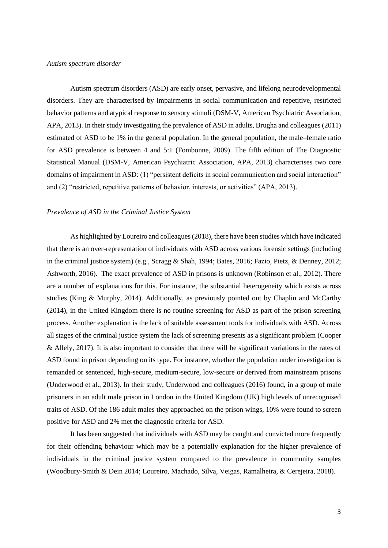# *Autism spectrum disorder*

Autism spectrum disorders (ASD) are early onset, pervasive, and lifelong neurodevelopmental disorders. They are characterised by impairments in social communication and repetitive, restricted behavior patterns and atypical response to sensory stimuli (DSM-V, American Psychiatric Association, APA, 2013). In their study investigating the prevalence of ASD in adults, Brugha and colleagues (2011) estimated of ASD to be 1% in the general population. In the general population, the male–female ratio for ASD prevalence is between 4 and 5:1 (Fombonne, 2009). The fifth edition of The Diagnostic Statistical Manual (DSM-V, American Psychiatric Association, APA, 2013) characterises two core domains of impairment in ASD: (1) "persistent deficits in social communication and social interaction" and (2) "restricted, repetitive patterns of behavior, interests, or activities" (APA, 2013).

# *Prevalence of ASD in the Criminal Justice System*

As highlighted by Loureiro and colleagues (2018), there have been studies which have indicated that there is an over-representation of individuals with ASD across various forensic settings (including in the criminal justice system) (e.g., Scragg & Shah, 1994; Bates, 2016; Fazio, Pietz, & Denney, 2012; Ashworth, 2016). The exact prevalence of ASD in prisons is unknown (Robinson et al., 2012). There are a number of explanations for this. For instance, the substantial heterogeneity which exists across studies (King & Murphy, 2014). Additionally, as previously pointed out by Chaplin and McCarthy (2014), in the United Kingdom there is no routine screening for ASD as part of the prison screening process. Another explanation is the lack of suitable assessment tools for individuals with ASD. Across all stages of the criminal justice system the lack of screening presents as a significant problem (Cooper & Allely, 2017). It is also important to consider that there will be significant variations in the rates of ASD found in prison depending on its type. For instance, whether the population under investigation is remanded or sentenced, high-secure, medium-secure, low-secure or derived from mainstream prisons (Underwood et al., 2013). In their study, Underwood and colleagues (2016) found, in a group of male prisoners in an adult male prison in London in the United Kingdom (UK) high levels of unrecognised traits of ASD. Of the 186 adult males they approached on the prison wings, 10% were found to screen positive for ASD and 2% met the diagnostic criteria for ASD.

It has been suggested that individuals with ASD may be caught and convicted more frequently for their offending behaviour which may be a potentially explanation for the higher prevalence of individuals in the criminal justice system compared to the prevalence in community samples (Woodbury-Smith & Dein 2014; Loureiro, Machado, Silva, Veigas, Ramalheira, & Cerejeira, 2018).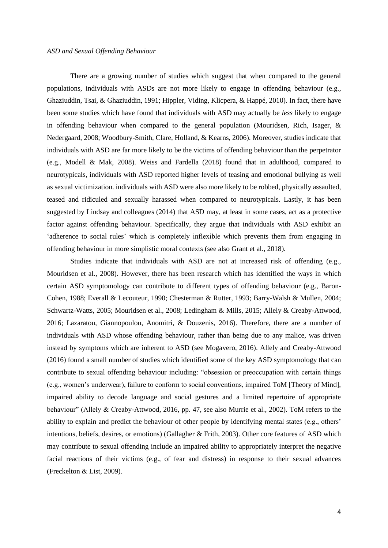There are a growing number of studies which suggest that when compared to the general populations, individuals with ASDs are not more likely to engage in offending behaviour (e.g., Ghaziuddin, Tsai, & Ghaziuddin, 1991; Hippler, Viding, Klicpera, & Happé, 2010). In fact, there have been some studies which have found that individuals with ASD may actually be *less* likely to engage in offending behaviour when compared to the general population (Mouridsen, Rich, Isager, & Nedergaard, 2008; Woodbury-Smith, Clare, Holland, & Kearns, 2006). Moreover, studies indicate that individuals with ASD are far more likely to be the victims of offending behaviour than the perpetrator (e.g., Modell & Mak, 2008). Weiss and Fardella (2018) found that in adulthood, compared to neurotypicals, individuals with ASD reported higher levels of teasing and emotional bullying as well as sexual victimization. individuals with ASD were also more likely to be robbed, physically assaulted, teased and ridiculed and sexually harassed when compared to neurotypicals. Lastly, it has been suggested by Lindsay and colleagues (2014) that ASD may, at least in some cases, act as a protective factor against offending behaviour. Specifically, they argue that individuals with ASD exhibit an 'adherence to social rules' which is completely inflexible which prevents them from engaging in offending behaviour in more simplistic moral contexts (see also Grant et al., 2018).

Studies indicate that individuals with ASD are not at increased risk of offending (e.g., Mouridsen et al., 2008). However, there has been research which has identified the ways in which certain ASD symptomology can contribute to different types of offending behaviour (e.g., Baron-Cohen, 1988; Everall & Lecouteur, 1990; Chesterman & Rutter, 1993; Barry-Walsh & Mullen, 2004; Schwartz-Watts, 2005; Mouridsen et al., 2008; Ledingham & Mills, 2015; Allely & Creaby-Attwood, 2016; Lazaratou, Giannopoulou, Anomitri, & Douzenis, 2016). Therefore, there are a number of individuals with ASD whose offending behaviour, rather than being due to any malice, was driven instead by symptoms which are inherent to ASD (see Mogavero, 2016). Allely and Creaby-Attwood (2016) found a small number of studies which identified some of the key ASD symptomology that can contribute to sexual offending behaviour including: "obsession or preoccupation with certain things (e.g., women's underwear), failure to conform to social conventions, impaired ToM [Theory of Mind], impaired ability to decode language and social gestures and a limited repertoire of appropriate behaviour" (Allely & Creaby-Attwood, 2016, pp. 47, see also Murrie et al., 2002). ToM refers to the ability to explain and predict the behaviour of other people by identifying mental states (e.g., others' intentions, beliefs, desires, or emotions) (Gallagher & Frith, 2003). Other core features of ASD which may contribute to sexual offending include an impaired ability to appropriately interpret the negative facial reactions of their victims (e.g., of fear and distress) in response to their sexual advances (Freckelton & List, 2009).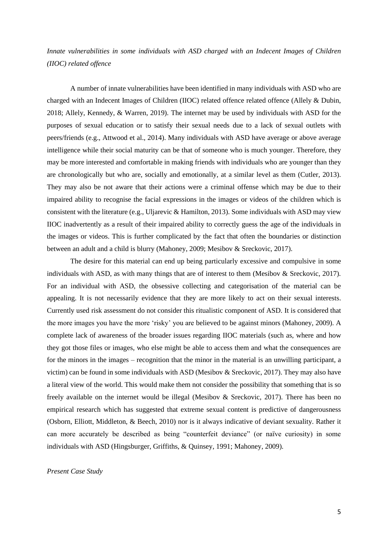*Innate vulnerabilities in some individuals with ASD charged with an Indecent Images of Children (IIOC) related offence*

A number of innate vulnerabilities have been identified in many individuals with ASD who are charged with an Indecent Images of Children (IIOC) related offence related offence (Allely & Dubin, 2018; Allely, Kennedy, & Warren, 2019). The internet may be used by individuals with ASD for the purposes of sexual education or to satisfy their sexual needs due to a lack of sexual outlets with peers/friends (e.g., Attwood et al., 2014). Many individuals with ASD have average or above average intelligence while their social maturity can be that of someone who is much younger. Therefore, they may be more interested and comfortable in making friends with individuals who are younger than they are chronologically but who are, socially and emotionally, at a similar level as them (Cutler, 2013). They may also be not aware that their actions were a criminal offense which may be due to their impaired ability to recognise the facial expressions in the images or videos of the children which is consistent with the literature (e.g., Uljarevic & Hamilton, 2013). Some individuals with ASD may view IIOC inadvertently as a result of their impaired ability to correctly guess the age of the individuals in the images or videos. This is further complicated by the fact that often the boundaries or distinction between an adult and a child is blurry (Mahoney, 2009; Mesibov & Sreckovic, 2017).

The desire for this material can end up being particularly excessive and compulsive in some individuals with ASD, as with many things that are of interest to them (Mesibov & Sreckovic, 2017). For an individual with ASD, the obsessive collecting and categorisation of the material can be appealing. It is not necessarily evidence that they are more likely to act on their sexual interests. Currently used risk assessment do not consider this ritualistic component of ASD. It is considered that the more images you have the more 'risky' you are believed to be against minors (Mahoney, 2009). A complete lack of awareness of the broader issues regarding IIOC materials (such as, where and how they got those files or images, who else might be able to access them and what the consequences are for the minors in the images – recognition that the minor in the material is an unwilling participant, a victim) can be found in some individuals with ASD (Mesibov & Sreckovic, 2017). They may also have a literal view of the world. This would make them not consider the possibility that something that is so freely available on the internet would be illegal (Mesibov & Sreckovic, 2017). There has been no empirical research which has suggested that extreme sexual content is predictive of dangerousness (Osborn, Elliott, Middleton, & Beech, 2010) nor is it always indicative of deviant sexuality. Rather it can more accurately be described as being "counterfeit deviance" (or naïve curiosity) in some individuals with ASD (Hingsburger, Griffiths, & Quinsey, 1991; Mahoney, 2009).

# *Present Case Study*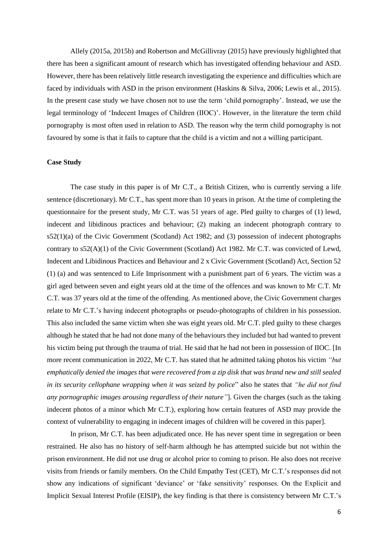Allely (2015a, 2015b) and Robertson and McGillivray (2015) have previously highlighted that there has been a significant amount of research which has investigated offending behaviour and ASD. However, there has been relatively little research investigating the experience and difficulties which are faced by individuals with ASD in the prison environment (Haskins & Silva, 2006; Lewis et al., 2015). In the present case study we have chosen not to use the term 'child pornography'. Instead, we use the legal terminology of 'Indecent Images of Children (IIOC)'. However, in the literature the term child pornography is most often used in relation to ASD. The reason why the term child pornography is not favoured by some is that it fails to capture that the child is a victim and not a willing participant.

# **Case Study**

The case study in this paper is of Mr C.T., a British Citizen, who is currently serving a life sentence (discretionary). Mr C.T., has spent more than 10 years in prison. At the time of completing the questionnaire for the present study, Mr C.T. was 51 years of age. Pled guilty to charges of (1) lewd, indecent and libidinous practices and behaviour; (2) making an indecent photograph contrary to s52(1)(a) of the Civic Government (Scotland) Act 1982; and (3) possession of indecent photographs contrary to s52(A)(1) of the Civic Government (Scotland) Act 1982. Mr C.T. was convicted of Lewd, Indecent and Libidinous Practices and Behaviour and 2 x Civic Government (Scotland) Act, Section 52 (1) (a) and was sentenced to Life Imprisonment with a punishment part of 6 years. The victim was a girl aged between seven and eight years old at the time of the offences and was known to Mr C.T. Mr C.T. was 37 years old at the time of the offending. As mentioned above, the Civic Government charges relate to Mr C.T.'s having indecent photographs or pseudo-photographs of children in his possession. This also included the same victim when she was eight years old. Mr C.T. pled guilty to these charges although he stated that he had not done many of the behaviours they included but had wanted to prevent his victim being put through the trauma of trial. He said that he had not been in possession of IIOC. [In more recent communication in 2022, Mr C.T. has stated that he admitted taking photos his victim *"but emphatically denied the images that were recovered from a zip disk that was brand new and still sealed in its security cellophane wrapping when it was seized by police*" also he states that *"he did not find any pornographic images arousing regardless of their nature"*]. Given the charges (such as the taking indecent photos of a minor which Mr C.T.), exploring how certain features of ASD may provide the context of vulnerability to engaging in indecent images of children will be covered in this paper].

In prison, Mr C.T. has been adjudicated once. He has never spent time in segregation or been restrained. He also has no history of self-harm although he has attempted suicide but not within the prison environment. He did not use drug or alcohol prior to coming to prison. He also does not receive visits from friends or family members. On the Child Empathy Test (CET), Mr C.T.'s responses did not show any indications of significant 'deviance' or 'fake sensitivity' responses. On the Explicit and Implicit Sexual Interest Profile (EISIP), the key finding is that there is consistency between Mr C.T.'s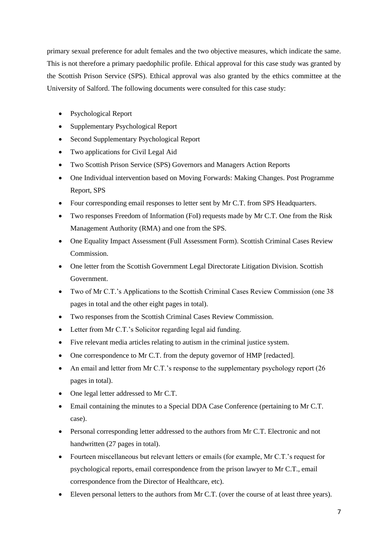primary sexual preference for adult females and the two objective measures, which indicate the same. This is not therefore a primary paedophilic profile. Ethical approval for this case study was granted by the Scottish Prison Service (SPS). Ethical approval was also granted by the ethics committee at the University of Salford. The following documents were consulted for this case study:

- Psychological Report
- Supplementary Psychological Report
- Second Supplementary Psychological Report
- Two applications for Civil Legal Aid
- Two Scottish Prison Service (SPS) Governors and Managers Action Reports
- One Individual intervention based on Moving Forwards: Making Changes. Post Programme Report, SPS
- Four corresponding email responses to letter sent by Mr C.T. from SPS Headquarters.
- Two responses Freedom of Information (FoI) requests made by Mr C.T. One from the Risk Management Authority (RMA) and one from the SPS.
- One Equality Impact Assessment (Full Assessment Form). Scottish Criminal Cases Review Commission.
- One letter from the Scottish Government Legal Directorate Litigation Division. Scottish Government.
- Two of Mr C.T.'s Applications to the Scottish Criminal Cases Review Commission (one 38 pages in total and the other eight pages in total).
- Two responses from the Scottish Criminal Cases Review Commission.
- Letter from Mr C.T.'s Solicitor regarding legal aid funding.
- Five relevant media articles relating to autism in the criminal justice system.
- One correspondence to Mr C.T. from the deputy governor of HMP [redacted].
- An email and letter from Mr C.T.'s response to the supplementary psychology report (26) pages in total).
- One legal letter addressed to Mr C.T.
- Email containing the minutes to a Special DDA Case Conference (pertaining to Mr C.T. case).
- Personal corresponding letter addressed to the authors from Mr C.T. Electronic and not handwritten (27 pages in total).
- Fourteen miscellaneous but relevant letters or emails (for example, Mr C.T.'s request for psychological reports, email correspondence from the prison lawyer to Mr C.T., email correspondence from the Director of Healthcare, etc).
- Eleven personal letters to the authors from Mr C.T. (over the course of at least three years).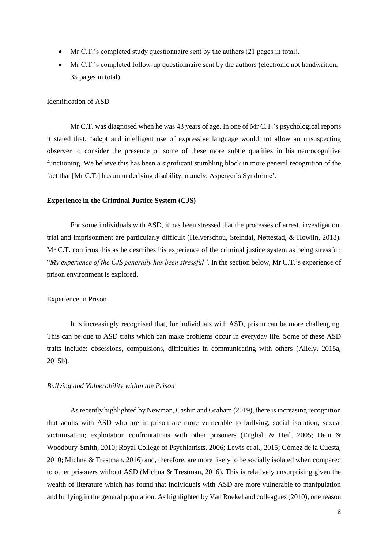- Mr C.T.'s completed study questionnaire sent by the authors (21 pages in total).
- Mr C.T.'s completed follow-up questionnaire sent by the authors (electronic not handwritten, 35 pages in total).

#### Identification of ASD

Mr C.T. was diagnosed when he was 43 years of age. In one of Mr C.T.'s psychological reports it stated that: 'adept and intelligent use of expressive language would not allow an unsuspecting observer to consider the presence of some of these more subtle qualities in his neurocognitive functioning. We believe this has been a significant stumbling block in more general recognition of the fact that [Mr C.T.] has an underlying disability, namely, Asperger's Syndrome'.

# **Experience in the Criminal Justice System (CJS)**

For some individuals with ASD, it has been stressed that the processes of arrest, investigation, trial and imprisonment are particularly difficult (Helverschou, Steindal, Nøttestad, & Howlin, 2018). Mr C.T. confirms this as he describes his experience of the criminal justice system as being stressful: "*My experience of the CJS generally has been stressful".* In the section below, Mr C.T.'s experience of prison environment is explored.

# Experience in Prison

It is increasingly recognised that, for individuals with ASD, prison can be more challenging. This can be due to ASD traits which can make problems occur in everyday life. Some of these ASD traits include: obsessions, compulsions, difficulties in communicating with others (Allely, 2015a, 2015b).

#### *Bullying and Vulnerability within the Prison*

As recently highlighted by Newman, Cashin and Graham (2019), there is increasing recognition that adults with ASD who are in prison are more vulnerable to bullying, social isolation, sexual victimisation; exploitation confrontations with other prisoners (English & Heil, 2005; Dein & Woodbury-Smith, 2010; Royal College of Psychiatrists, 2006; Lewis et al., 2015; Gómez de la Cuesta, 2010; Michna & Trestman, 2016) and, therefore, are more likely to be socially isolated when compared to other prisoners without ASD (Michna & Trestman, 2016). This is relatively unsurprising given the wealth of literature which has found that individuals with ASD are more vulnerable to manipulation and bullying in the general population. As highlighted by Van Roekel and colleagues (2010), one reason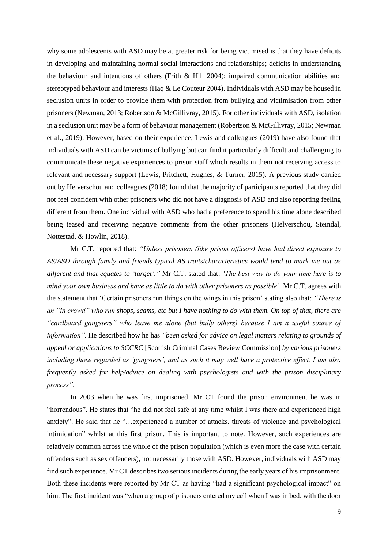why some adolescents with ASD may be at greater risk for being victimised is that they have deficits in developing and maintaining normal social interactions and relationships; deficits in understanding the behaviour and intentions of others (Frith & Hill 2004); impaired communication abilities and stereotyped behaviour and interests (Haq & Le Couteur 2004). Individuals with ASD may be housed in seclusion units in order to provide them with protection from bullying and victimisation from other prisoners (Newman, 2013; Robertson & McGillivray, 2015). For other individuals with ASD, isolation in a seclusion unit may be a form of behaviour management (Robertson & McGillivray, 2015; Newman et al., 2019). However, based on their experience, Lewis and colleagues (2019) have also found that individuals with ASD can be victims of bullying but can find it particularly difficult and challenging to communicate these negative experiences to prison staff which results in them not receiving access to relevant and necessary support (Lewis, Pritchett, Hughes, & Turner, 2015). A previous study carried out by Helverschou and colleagues (2018) found that the majority of participants reported that they did not feel confident with other prisoners who did not have a diagnosis of ASD and also reporting feeling different from them. One individual with ASD who had a preference to spend his time alone described being teased and receiving negative comments from the other prisoners (Helverschou, Steindal, Nøttestad, & Howlin, 2018).

Mr C.T. reported that: *"Unless prisoners (like prison officers) have had direct exposure to AS/ASD through family and friends typical AS traits/characteristics would tend to mark me out as different and that equates to 'target'."* Mr C.T. stated that: *'The best way to do your time here is to mind your own business and have as little to do with other prisoners as possible'.* Mr C.T. agrees with the statement that 'Certain prisoners run things on the wings in this prison' stating also that: *"There is an "in crowd" who run shops, scams, etc but I have nothing to do with them. On top of that, there are "cardboard gangsters" who leave me alone (but bully others) because I am a useful source of information".* He described how he has *"been asked for advice on legal matters relating to grounds of appeal or applications to SCCRC* [Scottish Criminal Cases Review Commission] *by various prisoners including those regarded as 'gangsters', and as such it may well have a protective effect. I am also frequently asked for help/advice on dealing with psychologists and with the prison disciplinary process".* 

In 2003 when he was first imprisoned, Mr CT found the prison environment he was in "horrendous". He states that "he did not feel safe at any time whilst I was there and experienced high anxiety". He said that he "…experienced a number of attacks, threats of violence and psychological intimidation" whilst at this first prison. This is important to note. However, such experiences are relatively common across the whole of the prison population (which is even more the case with certain offenders such as sex offenders), not necessarily those with ASD. However, individuals with ASD may find such experience. Mr CT describes two serious incidents during the early years of his imprisonment. Both these incidents were reported by Mr CT as having "had a significant psychological impact" on him. The first incident was "when a group of prisoners entered my cell when I was in bed, with the door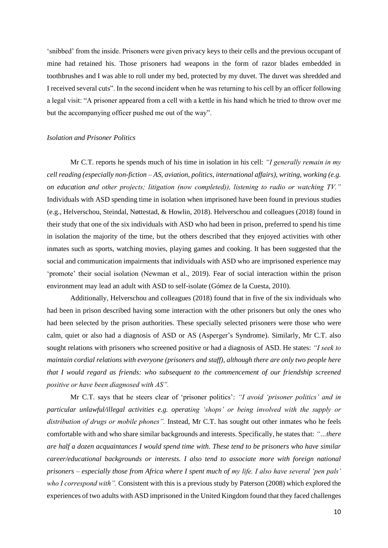'snibbed' from the inside. Prisoners were given privacy keys to their cells and the previous occupant of mine had retained his. Those prisoners had weapons in the form of razor blades embedded in toothbrushes and I was able to roll under my bed, protected by my duvet. The duvet was shredded and I received several cuts". In the second incident when he was returning to his cell by an officer following a legal visit: "A prisoner appeared from a cell with a kettle in his hand which he tried to throw over me but the accompanying officer pushed me out of the way".

# *Isolation and Prisoner Politics*

Mr C.T. reports he spends much of his time in isolation in his cell: *"I generally remain in my cell reading (especially non-fiction – AS, aviation, politics, international affairs), writing, working (e.g. on education and other projects; litigation (now completed)), listening to radio or watching TV."*  Individuals with ASD spending time in isolation when imprisoned have been found in previous studies (e.g., Helverschou, Steindal, Nøttestad, & Howlin, 2018). Helverschou and colleagues (2018) found in their study that one of the six individuals with ASD who had been in prison, preferred to spend his time in isolation the majority of the time, but the others described that they enjoyed activities with other inmates such as sports, watching movies, playing games and cooking. It has been suggested that the social and communication impairments that individuals with ASD who are imprisoned experience may 'promote' their social isolation (Newman et al., 2019). Fear of social interaction within the prison environment may lead an adult with ASD to self-isolate (Gómez de la Cuesta, 2010).

Additionally, Helverschou and colleagues (2018) found that in five of the six individuals who had been in prison described having some interaction with the other prisoners but only the ones who had been selected by the prison authorities. These specially selected prisoners were those who were calm, quiet or also had a diagnosis of ASD or AS (Asperger's Syndrome). Similarly, Mr C.T. also sought relations with prisoners who screened positive or had a diagnosis of ASD. He states: *"I seek to maintain cordial relations with everyone (prisoners and staff), although there are only two people here that I would regard as friends: who subsequent to the commencement of our friendship screened positive or have been diagnosed with AS".* 

Mr C.T. says that he steers clear of 'prisoner politics': *"I avoid 'prisoner politics' and in particular unlawful/illegal activities e.g. operating 'shops' or being involved with the supply or distribution of drugs or mobile phones".* Instead, Mr C.T. has sought out other inmates who he feels comfortable with and who share similar backgrounds and interests. Specifically, he states that: *"…there are half a dozen acquaintances I would spend time with. These tend to be prisoners who have similar career/educational backgrounds or interests. I also tend to associate more with foreign national prisoners – especially those from Africa where I spent much of my life. I also have several 'pen pals' who I correspond with".* Consistent with this is a previous study by Paterson (2008) which explored the experiences of two adults with ASD imprisoned in the United Kingdom found that they faced challenges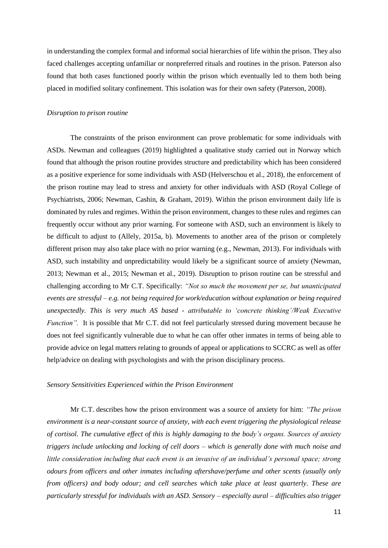in understanding the complex formal and informal social hierarchies of life within the prison. They also faced challenges accepting unfamiliar or nonpreferred rituals and routines in the prison. Paterson also found that both cases functioned poorly within the prison which eventually led to them both being placed in modified solitary confinement. This isolation was for their own safety (Paterson, 2008).

#### *Disruption to prison routine*

The constraints of the prison environment can prove problematic for some individuals with ASDs. Newman and colleagues (2019) highlighted a qualitative study carried out in Norway which found that although the prison routine provides structure and predictability which has been considered as a positive experience for some individuals with ASD (Helverschou et al., 2018), the enforcement of the prison routine may lead to stress and anxiety for other individuals with ASD (Royal College of Psychiatrists, 2006; Newman, Cashin, & Graham, 2019). Within the prison environment daily life is dominated by rules and regimes. Within the prison environment, changes to these rules and regimes can frequently occur without any prior warning. For someone with ASD, such an environment is likely to be difficult to adjust to (Allely, 2015a, b). Movements to another area of the prison or completely different prison may also take place with no prior warning (e.g., Newman, 2013). For individuals with ASD, such instability and unpredictability would likely be a significant source of anxiety (Newman, 2013; Newman et al., 2015; Newman et al., 2019). Disruption to prison routine can be stressful and challenging according to Mr C.T. Specifically: *"Not so much the movement per se, but unanticipated events are stressful – e.g. not being required for work/education without explanation or being required unexpectedly. This is very much AS based - attributable to 'concrete thinking'/Weak Executive Function".* It is possible that Mr C.T. did not feel particularly stressed during movement because he does not feel significantly vulnerable due to what he can offer other inmates in terms of being able to provide advice on legal matters relating to grounds of appeal or applications to SCCRC as well as offer help/advice on dealing with psychologists and with the prison disciplinary process*.* 

#### *Sensory Sensitivities Experienced within the Prison Environment*

Mr C.T. describes how the prison environment was a source of anxiety for him: *"The prison environment is a near-constant source of anxiety, with each event triggering the physiological release of cortisol. The cumulative effect of this is highly damaging to the body's organs. Sources of anxiety triggers include unlocking and locking of cell doors – which is generally done with much noise and little consideration including that each event is an invasive of an individual's personal space; strong odours from officers and other inmates including aftershave/perfume and other scents (usually only from officers) and body odour; and cell searches which take place at least quarterly. These are particularly stressful for individuals with an ASD. Sensory – especially aural – difficulties also trigger*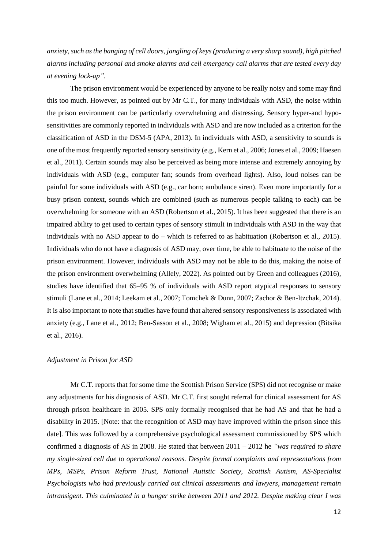*anxiety, such as the banging of cell doors, jangling of keys (producing a very sharp sound), high pitched alarms including personal and smoke alarms and cell emergency call alarms that are tested every day at evening lock-up".* 

The prison environment would be experienced by anyone to be really noisy and some may find this too much. However, as pointed out by Mr C.T., for many individuals with ASD, the noise within the prison environment can be particularly overwhelming and distressing. Sensory hyper-and hyposensitivities are commonly reported in individuals with ASD and are now included as a criterion for the classification of ASD in the DSM-5 (APA, 2013). In individuals with ASD, a sensitivity to sounds is one of the most frequently reported sensory sensitivity (e.g., Kern et al., 2006; Jones et al., 2009; Haesen et al., 2011). Certain sounds may also be perceived as being more intense and extremely annoying by individuals with ASD (e.g., computer fan; sounds from overhead lights). Also, loud noises can be painful for some individuals with ASD (e.g., car horn; ambulance siren). Even more importantly for a busy prison context, sounds which are combined (such as numerous people talking to each) can be overwhelming for someone with an ASD (Robertson et al., 2015). It has been suggested that there is an impaired ability to get used to certain types of sensory stimuli in individuals with ASD in the way that individuals with no ASD appear to do **–** which is referred to as habituation (Robertson et al., 2015). Individuals who do not have a diagnosis of ASD may, over time, be able to habituate to the noise of the prison environment. However, individuals with ASD may not be able to do this, making the noise of the prison environment overwhelming (Allely, 2022). As pointed out by Green and colleagues (2016), studies have identified that 65–95 % of individuals with ASD report atypical responses to sensory stimuli (Lane et al., 2014; Leekam et al., 2007; Tomchek & Dunn, 2007; Zachor & Ben-Itzchak, 2014). It is also important to note that studies have found that altered sensory responsiveness is associated with anxiety (e.g., Lane et al., 2012; Ben-Sasson et al., 2008; Wigham et al., 2015) and depression (Bitsika et al., 2016).

# *Adjustment in Prison for ASD*

Mr C.T. reports that for some time the Scottish Prison Service (SPS) did not recognise or make any adjustments for his diagnosis of ASD. Mr C.T. first sought referral for clinical assessment for AS through prison healthcare in 2005. SPS only formally recognised that he had AS and that he had a disability in 2015. [Note: that the recognition of ASD may have improved within the prison since this date]. This was followed by a comprehensive psychological assessment commissioned by SPS which confirmed a diagnosis of AS in 2008. He stated that between 2011 – 2012 he *"was required to share my single-sized cell due to operational reasons. Despite formal complaints and representations from MPs, MSPs, Prison Reform Trust, National Autistic Society, Scottish Autism, AS-Specialist Psychologists who had previously carried out clinical assessments and lawyers, management remain intransigent. This culminated in a hunger strike between 2011 and 2012. Despite making clear I was*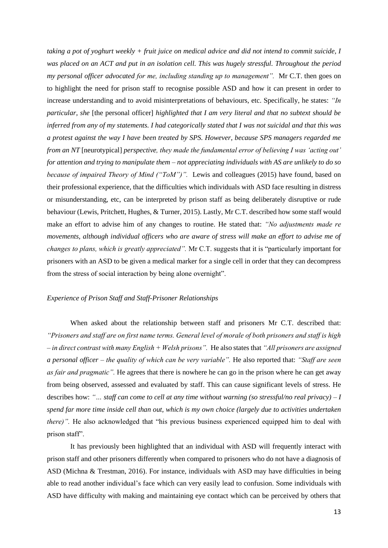*taking a pot of yoghurt weekly + fruit juice on medical advice and did not intend to commit suicide, I was placed on an ACT and put in an isolation cell. This was hugely stressful. Throughout the period my personal officer advocated for me, including standing up to management".* Mr C.T. then goes on to highlight the need for prison staff to recognise possible ASD and how it can present in order to increase understanding and to avoid misinterpretations of behaviours, etc. Specifically, he states: *"In particular, she* [the personal officer] *highlighted that I am very literal and that no subtext should be inferred from any of my statements. I had categorically stated that I was not suicidal and that this was a protest against the way I have been treated by SPS. However, because SPS managers regarded me from an NT* [neurotypical] *perspective, they made the fundamental error of believing I was 'acting out' for attention and trying to manipulate them – not appreciating individuals with AS are unlikely to do so because of impaired Theory of Mind ("ToM")".* Lewis and colleagues (2015) have found, based on their professional experience, that the difficulties which individuals with ASD face resulting in distress or misunderstanding, etc, can be interpreted by prison staff as being deliberately disruptive or rude behaviour (Lewis, Pritchett, Hughes, & Turner, 2015). Lastly, Mr C.T. described how some staff would make an effort to advise him of any changes to routine. He stated that: *"No adjustments made re movements, although individual officers who are aware of stress will make an effort to advise me of changes to plans, which is greatly appreciated".* Mr C.T. suggests that it is "particularly important for prisoners with an ASD to be given a medical marker for a single cell in order that they can decompress from the stress of social interaction by being alone overnight".

# *Experience of Prison Staff and Staff-Prisoner Relationships*

When asked about the relationship between staff and prisoners Mr C.T. described that: *"Prisoners and staff are on first name terms. General level of morale of both prisoners and staff is high – in direct contrast with many English + Welsh prisons".* He also states that *"All prisoners are assigned a personal officer – the quality of which can be very variable".* He also reported that: *"Staff are seen as fair and pragmatic".* He agrees that there is nowhere he can go in the prison where he can get away from being observed, assessed and evaluated by staff. This can cause significant levels of stress. He describes how: *"… staff can come to cell at any time without warning (so stressful/no real privacy) – I spend far more time inside cell than out, which is my own choice (largely due to activities undertaken there)"*. He also acknowledged that "his previous business experienced equipped him to deal with prison staff".

It has previously been highlighted that an individual with ASD will frequently interact with prison staff and other prisoners differently when compared to prisoners who do not have a diagnosis of ASD (Michna & Trestman, 2016). For instance, individuals with ASD may have difficulties in being able to read another individual's face which can very easily lead to confusion. Some individuals with ASD have difficulty with making and maintaining eye contact which can be perceived by others that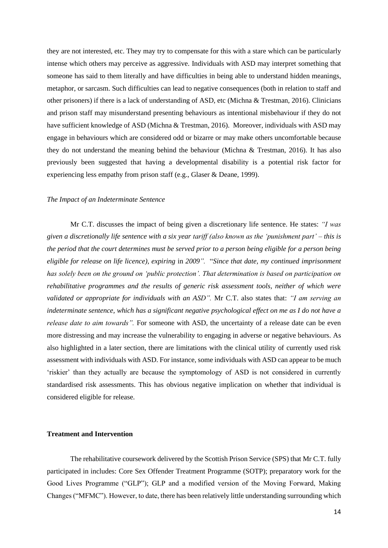they are not interested, etc. They may try to compensate for this with a stare which can be particularly intense which others may perceive as aggressive. Individuals with ASD may interpret something that someone has said to them literally and have difficulties in being able to understand hidden meanings, metaphor, or sarcasm. Such difficulties can lead to negative consequences (both in relation to staff and other prisoners) if there is a lack of understanding of ASD, etc (Michna & Trestman, 2016). Clinicians and prison staff may misunderstand presenting behaviours as intentional misbehaviour if they do not have sufficient knowledge of ASD (Michna & Trestman, 2016). Moreover, individuals with ASD may engage in behaviours which are considered odd or bizarre or may make others uncomfortable because they do not understand the meaning behind the behaviour (Michna & Trestman, 2016). It has also previously been suggested that having a developmental disability is a potential risk factor for experiencing less empathy from prison staff (e.g., Glaser & Deane, 1999).

#### *The Impact of an Indeterminate Sentence*

Mr C.T. discusses the impact of being given a discretionary life sentence. He states: *"I was given a discretionally life sentence with a six year tariff (also known as the 'punishment part' – this is the period that the court determines must be served prior to a person being eligible for a person being eligible for release on life licence), expiring* in *2009".* "*Since that date, my continued imprisonment has solely been on the ground on 'public protection'. That determination is based on participation on rehabilitative programmes and the results of generic risk assessment tools, neither of which were validated or appropriate for individuals with an ASD".* Mr C.T. also states that: *"I am serving an indeterminate sentence, which has a significant negative psychological effect on me as I do not have a release date to aim towards*". For someone with ASD, the uncertainty of a release date can be even more distressing and may increase the vulnerability to engaging in adverse or negative behaviours. As also highlighted in a later section, there are limitations with the clinical utility of currently used risk assessment with individuals with ASD. For instance, some individuals with ASD can appear to be much 'riskier' than they actually are because the symptomology of ASD is not considered in currently standardised risk assessments. This has obvious negative implication on whether that individual is considered eligible for release.

# **Treatment and Intervention**

The rehabilitative coursework delivered by the Scottish Prison Service (SPS) that Mr C.T. fully participated in includes: Core Sex Offender Treatment Programme (SOTP); preparatory work for the Good Lives Programme ("GLP"); GLP and a modified version of the Moving Forward, Making Changes ("MFMC"). However, to date, there has been relatively little understanding surrounding which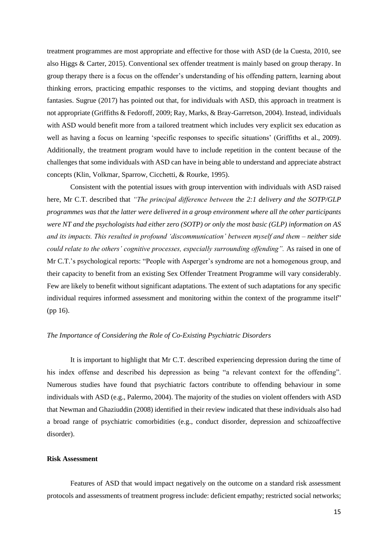treatment programmes are most appropriate and effective for those with ASD (de la Cuesta, 2010, see also Higgs & Carter, 2015). Conventional sex offender treatment is mainly based on group therapy. In group therapy there is a focus on the offender's understanding of his offending pattern, learning about thinking errors, practicing empathic responses to the victims, and stopping deviant thoughts and fantasies. Sugrue (2017) has pointed out that, for individuals with ASD, this approach in treatment is not appropriate (Griffiths & Fedoroff, 2009; Ray, Marks, & Bray-Garretson, 2004). Instead, individuals with ASD would benefit more from a tailored treatment which includes very explicit sex education as well as having a focus on learning 'specific responses to specific situations' (Griffiths et al., 2009). Additionally, the treatment program would have to include repetition in the content because of the challenges that some individuals with ASD can have in being able to understand and appreciate abstract concepts (Klin, Volkmar, Sparrow, Cicchetti, & Rourke, 1995).

Consistent with the potential issues with group intervention with individuals with ASD raised here, Mr C.T. described that *"The principal difference between the 2:1 delivery and the SOTP/GLP programmes was that the latter were delivered in a group environment where all the other participants were NT and the psychologists had either zero (SOTP) or only the most basic (GLP) information on AS and its impacts. This resulted in profound 'discommunication' between myself and them – neither side could relate to the others' cognitive processes, especially surrounding offending".* As raised in one of Mr C.T.'s psychological reports: "People with Asperger's syndrome are not a homogenous group, and their capacity to benefit from an existing Sex Offender Treatment Programme will vary considerably. Few are likely to benefit without significant adaptations. The extent of such adaptations for any specific individual requires informed assessment and monitoring within the context of the programme itself" (pp 16).

#### *The Importance of Considering the Role of Co-Existing Psychiatric Disorders*

It is important to highlight that Mr C.T. described experiencing depression during the time of his index offense and described his depression as being "a relevant context for the offending". Numerous studies have found that psychiatric factors contribute to offending behaviour in some individuals with ASD (e.g., Palermo, 2004). The majority of the studies on violent offenders with ASD that Newman and Ghaziuddin (2008) identified in their review indicated that these individuals also had a broad range of psychiatric comorbidities (e.g., conduct disorder, depression and schizoaffective disorder).

# **Risk Assessment**

Features of ASD that would impact negatively on the outcome on a standard risk assessment protocols and assessments of treatment progress include: deficient empathy; restricted social networks;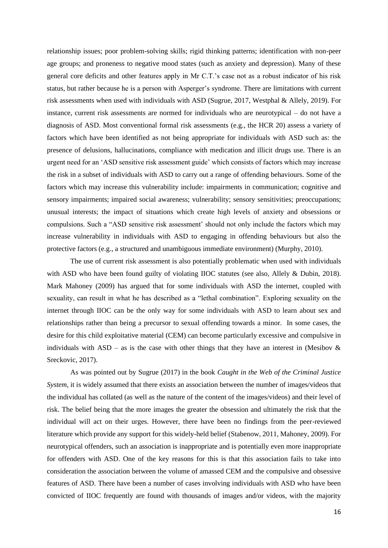relationship issues; poor problem-solving skills; rigid thinking patterns; identification with non-peer age groups; and proneness to negative mood states (such as anxiety and depression). Many of these general core deficits and other features apply in Mr C.T.'s case not as a robust indicator of his risk status, but rather because he is a person with Asperger's syndrome. There are limitations with current risk assessments when used with individuals with ASD (Sugrue, 2017, Westphal & Allely, 2019). For instance, current risk assessments are normed for individuals who are neurotypical – do not have a diagnosis of ASD. Most conventional formal risk assessments (e.g., the HCR 20) assess a variety of factors which have been identified as not being appropriate for individuals with ASD such as: the presence of delusions, hallucinations, compliance with medication and illicit drugs use. There is an urgent need for an 'ASD sensitive risk assessment guide' which consists of factors which may increase the risk in a subset of individuals with ASD to carry out a range of offending behaviours. Some of the factors which may increase this vulnerability include: impairments in communication; cognitive and sensory impairments; impaired social awareness; vulnerability; sensory sensitivities; preoccupations; unusual interests; the impact of situations which create high levels of anxiety and obsessions or compulsions. Such a "ASD sensitive risk assessment' should not only include the factors which may increase vulnerability in individuals with ASD to engaging in offending behaviours but also the protective factors (e.g., a structured and unambiguous immediate environment) (Murphy, 2010).

The use of current risk assessment is also potentially problematic when used with individuals with ASD who have been found guilty of violating IIOC statutes (see also, Allely & Dubin, 2018). Mark Mahoney (2009) has argued that for some individuals with ASD the internet, coupled with sexuality, can result in what he has described as a "lethal combination". Exploring sexuality on the internet through IIOC can be the only way for some individuals with ASD to learn about sex and relationships rather than being a precursor to sexual offending towards a minor. In some cases, the desire for this child exploitative material (CEM) can become particularly excessive and compulsive in individuals with ASD – as is the case with other things that they have an interest in (Mesibov  $\&$ Sreckovic, 2017).

As was pointed out by Sugrue (2017) in the book *Caught in the Web of the Criminal Justice System*, it is widely assumed that there exists an association between the number of images/videos that the individual has collated (as well as the nature of the content of the images/videos) and their level of risk. The belief being that the more images the greater the obsession and ultimately the risk that the individual will act on their urges. However, there have been no findings from the peer-reviewed literature which provide any support for this widely-held belief (Stabenow, 2011, Mahoney, 2009). For neurotypical offenders, such an association is inappropriate and is potentially even more inappropriate for offenders with ASD. One of the key reasons for this is that this association fails to take into consideration the association between the volume of amassed CEM and the compulsive and obsessive features of ASD. There have been a number of cases involving individuals with ASD who have been convicted of IIOC frequently are found with thousands of images and/or videos, with the majority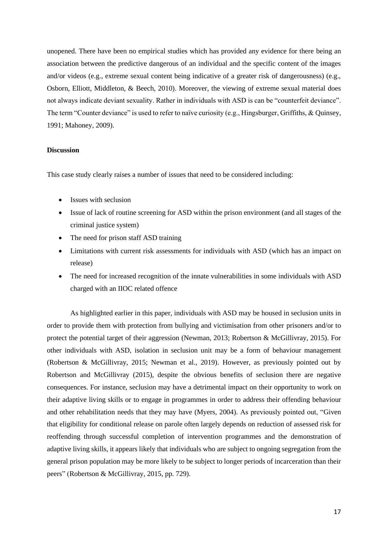unopened. There have been no empirical studies which has provided any evidence for there being an association between the predictive dangerous of an individual and the specific content of the images and/or videos (e.g., extreme sexual content being indicative of a greater risk of dangerousness) (e.g., Osborn, Elliott, Middleton, & Beech, 2010). Moreover, the viewing of extreme sexual material does not always indicate deviant sexuality. Rather in individuals with ASD is can be "counterfeit deviance". The term "Counter deviance" is used to refer to naïve curiosity (e.g., Hingsburger, Griffiths, & Quinsey, 1991; Mahoney, 2009).

# **Discussion**

This case study clearly raises a number of issues that need to be considered including:

- Issues with seclusion
- Issue of lack of routine screening for ASD within the prison environment (and all stages of the criminal justice system)
- The need for prison staff ASD training
- Limitations with current risk assessments for individuals with ASD (which has an impact on release)
- The need for increased recognition of the innate vulnerabilities in some individuals with ASD charged with an IIOC related offence

As highlighted earlier in this paper, individuals with ASD may be housed in seclusion units in order to provide them with protection from bullying and victimisation from other prisoners and/or to protect the potential target of their aggression (Newman, 2013; Robertson & McGillivray, 2015). For other individuals with ASD, isolation in seclusion unit may be a form of behaviour management (Robertson & McGillivray, 2015; Newman et al., 2019). However, as previously pointed out by Robertson and McGillivray (2015), despite the obvious benefits of seclusion there are negative consequences. For instance, seclusion may have a detrimental impact on their opportunity to work on their adaptive living skills or to engage in programmes in order to address their offending behaviour and other rehabilitation needs that they may have (Myers, 2004). As previously pointed out, "Given that eligibility for conditional release on parole often largely depends on reduction of assessed risk for reoffending through successful completion of intervention programmes and the demonstration of adaptive living skills, it appears likely that individuals who are subject to ongoing segregation from the general prison population may be more likely to be subject to longer periods of incarceration than their peers" (Robertson & McGillivray, 2015, pp. 729).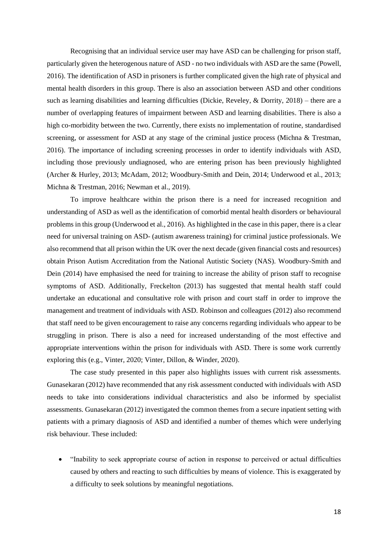Recognising that an individual service user may have ASD can be challenging for prison staff, particularly given the heterogenous nature of ASD - no two individuals with ASD are the same (Powell, 2016). The identification of ASD in prisoners is further complicated given the high rate of physical and mental health disorders in this group. There is also an association between ASD and other conditions such as learning disabilities and learning difficulties (Dickie, Reveley, & Dorrity, 2018) – there are a number of overlapping features of impairment between ASD and learning disabilities. There is also a high co-morbidity between the two. Currently, there exists no implementation of routine, standardised screening, or assessment for ASD at any stage of the criminal justice process (Michna & Trestman, 2016). The importance of including screening processes in order to identify individuals with ASD, including those previously undiagnosed, who are entering prison has been previously highlighted (Archer & Hurley, 2013; McAdam, 2012; Woodbury-Smith and Dein, 2014; Underwood et al., 2013; Michna & Trestman, 2016; Newman et al., 2019).

To improve healthcare within the prison there is a need for increased recognition and understanding of ASD as well as the identification of comorbid mental health disorders or behavioural problems in this group (Underwood et al., 2016). As highlighted in the case in this paper, there is a clear need for universal training on ASD- (autism awareness training) for criminal justice professionals. We also recommend that all prison within the UK over the next decade (given financial costs and resources) obtain Prison Autism Accreditation from the National Autistic Society (NAS). Woodbury-Smith and Dein (2014) have emphasised the need for training to increase the ability of prison staff to recognise symptoms of ASD. Additionally, Freckelton (2013) has suggested that mental health staff could undertake an educational and consultative role with prison and court staff in order to improve the management and treatment of individuals with ASD. Robinson and colleagues (2012) also recommend that staff need to be given encouragement to raise any concerns regarding individuals who appear to be struggling in prison. There is also a need for increased understanding of the most effective and appropriate interventions within the prison for individuals with ASD. There is some work currently exploring this (e.g., Vinter, 2020; Vinter, Dillon, & Winder, 2020).

The case study presented in this paper also highlights issues with current risk assessments. Gunasekaran (2012) have recommended that any risk assessment conducted with individuals with ASD needs to take into considerations individual characteristics and also be informed by specialist assessments. Gunasekaran (2012) investigated the common themes from a secure inpatient setting with patients with a primary diagnosis of ASD and identified a number of themes which were underlying risk behaviour. These included:

• "Inability to seek appropriate course of action in response to perceived or actual difficulties caused by others and reacting to such difficulties by means of violence. This is exaggerated by a difficulty to seek solutions by meaningful negotiations.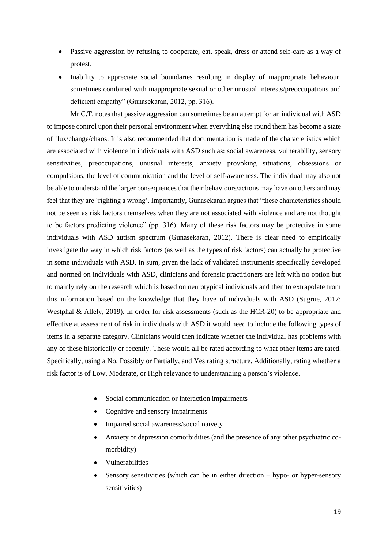- Passive aggression by refusing to cooperate, eat, speak, dress or attend self-care as a way of protest.
- Inability to appreciate social boundaries resulting in display of inappropriate behaviour, sometimes combined with inappropriate sexual or other unusual interests/preoccupations and deficient empathy" (Gunasekaran, 2012, pp. 316).

Mr C.T. notes that passive aggression can sometimes be an attempt for an individual with ASD to impose control upon their personal environment when everything else round them has become a state of flux/change/chaos. It is also recommended that documentation is made of the characteristics which are associated with violence in individuals with ASD such as: social awareness, vulnerability, sensory sensitivities, preoccupations, unusual interests, anxiety provoking situations, obsessions or compulsions, the level of communication and the level of self-awareness. The individual may also not be able to understand the larger consequences that their behaviours/actions may have on others and may feel that they are 'righting a wrong'. Importantly, Gunasekaran argues that "these characteristics should not be seen as risk factors themselves when they are not associated with violence and are not thought to be factors predicting violence" (pp. 316). Many of these risk factors may be protective in some individuals with ASD autism spectrum (Gunasekaran, 2012). There is clear need to empirically investigate the way in which risk factors (as well as the types of risk factors) can actually be protective in some individuals with ASD. In sum, given the lack of validated instruments specifically developed and normed on individuals with ASD, clinicians and forensic practitioners are left with no option but to mainly rely on the research which is based on neurotypical individuals and then to extrapolate from this information based on the knowledge that they have of individuals with ASD (Sugrue, 2017; Westphal & Allely, 2019). In order for risk assessments (such as the HCR-20) to be appropriate and effective at assessment of risk in individuals with ASD it would need to include the following types of items in a separate category. Clinicians would then indicate whether the individual has problems with any of these historically or recently. These would all be rated according to what other items are rated. Specifically, using a No, Possibly or Partially, and Yes rating structure. Additionally, rating whether a risk factor is of Low, Moderate, or High relevance to understanding a person's violence.

- Social communication or interaction impairments
- Cognitive and sensory impairments
- Impaired social awareness/social naivety
- Anxiety or depression comorbidities (and the presence of any other psychiatric comorbidity)
- Vulnerabilities
- Sensory sensitivities (which can be in either direction  $-$  hypo- or hyper-sensory sensitivities)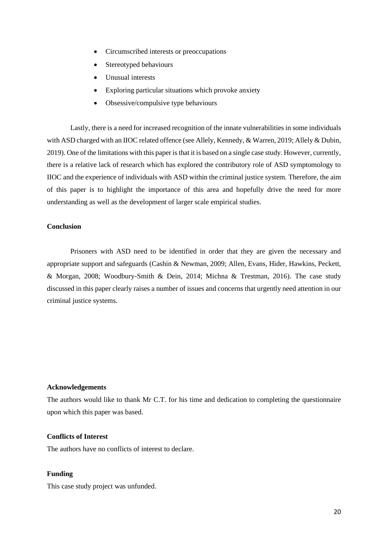- Circumscribed interests or preoccupations
- Stereotyped behaviours
- **Unusual interests**
- Exploring particular situations which provoke anxiety
- Obsessive/compulsive type behaviours

Lastly, there is a need for increased recognition of the innate vulnerabilities in some individuals with ASD charged with an IIOC related offence (see Allely, Kennedy, & Warren, 2019; Allely & Dubin, 2019). One of the limitations with this paper is that it is based on a single case study. However, currently, there is a relative lack of research which has explored the contributory role of ASD symptomology to IIOC and the experience of individuals with ASD within the criminal justice system. Therefore, the aim of this paper is to highlight the importance of this area and hopefully drive the need for more understanding as well as the development of larger scale empirical studies.

# **Conclusion**

Prisoners with ASD need to be identified in order that they are given the necessary and appropriate support and safeguards (Cashin & Newman, 2009; Allen, Evans, Hider, Hawkins, Peckett, & Morgan, 2008; Woodbury-Smith & Dein, 2014; Michna & Trestman, 2016). The case study discussed in this paper clearly raises a number of issues and concerns that urgently need attention in our criminal justice systems.

# **Acknowledgements**

The authors would like to thank Mr C.T. for his time and dedication to completing the questionnaire upon which this paper was based.

#### **Conflicts of Interest**

The authors have no conflicts of interest to declare.

# **Funding**

This case study project was unfunded.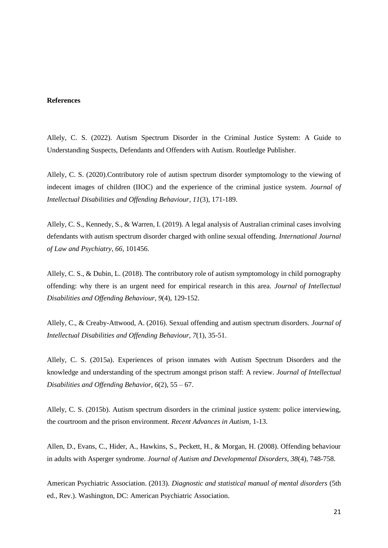# **References**

Allely, C. S. (2022). Autism Spectrum Disorder in the Criminal Justice System: A Guide to Understanding Suspects, Defendants and Offenders with Autism. Routledge Publisher.

Allely, C. S. (2020).Contributory role of autism spectrum disorder symptomology to the viewing of indecent images of children (IIOC) and the experience of the criminal justice system. *Journal of Intellectual Disabilities and Offending Behaviour, 11*(3), 171-189.

Allely, C. S., Kennedy, S., & Warren, I. (2019). A legal analysis of Australian criminal cases involving defendants with autism spectrum disorder charged with online sexual offending. *International Journal of Law and Psychiatry, 66,* 101456.

Allely, C. S., & Dubin, L. (2018). The contributory role of autism symptomology in child pornography offending: why there is an urgent need for empirical research in this area. *Journal of Intellectual Disabilities and Offending Behaviour, 9*(4), 129-152.

Allely, C., & Creaby-Attwood, A. (2016). Sexual offending and autism spectrum disorders. *Journal of Intellectual Disabilities and Offending Behaviour, 7*(1), 35-51.

Allely, C. S. (2015a). Experiences of prison inmates with Autism Spectrum Disorders and the knowledge and understanding of the spectrum amongst prison staff: A review. *Journal of Intellectual Disabilities and Offending Behavior, 6*(2), 55 – 67.

Allely, C. S. (2015b). Autism spectrum disorders in the criminal justice system: police interviewing, the courtroom and the prison environment. *Recent Advances in Autism,* 1-13.

Allen, D., Evans, C., Hider, A., Hawkins, S., Peckett, H., & Morgan, H. (2008). Offending behaviour in adults with Asperger syndrome. *Journal of Autism and Developmental Disorders, 38*(4), 748-758.

American Psychiatric Association. (2013). *Diagnostic and statistical manual of mental disorders* (5th ed., Rev.). Washington, DC: American Psychiatric Association.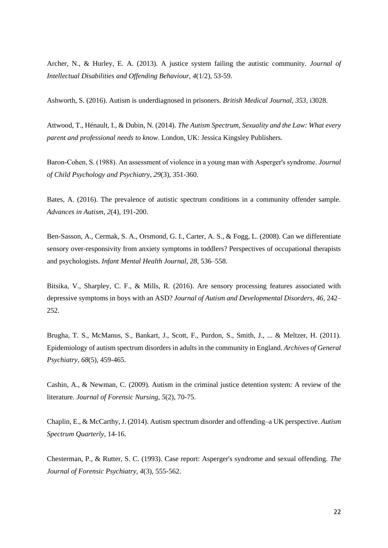Archer, N., & Hurley, E. A. (2013). A justice system failing the autistic community. *Journal of Intellectual Disabilities and Offending Behaviour, 4*(1/2), 53-59.

Ashworth, S. (2016). Autism is underdiagnosed in prisoners. *British Medical Journal, 353*, i3028.

Attwood, T., Hénault, I., & Dubin, N. (2014). *The Autism Spectrum, Sexuality and the Law: What every parent and professional needs to know*. London, UK: Jessica Kingsley Publishers.

Baron‐Cohen, S. (1988). An assessment of violence in a young man with Asperger's syndrome. *Journal of Child Psychology and Psychiatry, 29*(3), 351-360.

Bates, A. (2016). The prevalence of autistic spectrum conditions in a community offender sample. *Advances in Autism, 2*(4), 191-200.

Ben-Sasson, A., Cermak, S. A., Orsmond, G. I., Carter, A. S., & Fogg, L. (2008). Can we differentiate sensory over-responsivity from anxiety symptoms in toddlers? Perspectives of occupational therapists and psychologists. *Infant Mental Health Journal, 28*, 536–558.

Bitsika, V., Sharpley, C. F., & Mills, R. (2016). Are sensory processing features associated with depressive symptoms in boys with an ASD? *Journal of Autism and Developmental Disorders, 46,* 242– 252.

Brugha, T. S., McManus, S., Bankart, J., Scott, F., Purdon, S., Smith, J., ... & Meltzer, H. (2011). Epidemiology of autism spectrum disorders in adults in the community in England. *Archives of General Psychiatry, 68*(5), 459-465.

Cashin, A., & Newman, C. (2009). Autism in the criminal justice detention system: A review of the literature. *Journal of Forensic Nursing, 5*(2), 70-75.

Chaplin, E., & McCarthy, J. (2014). Autism spectrum disorder and offending–a UK perspective. *Autism Spectrum Quarterly*, 14-16.

Chesterman, P., & Rutter, S. C. (1993). Case report: Asperger's syndrome and sexual offending. *The Journal of Forensic Psychiatry, 4*(3), 555-562.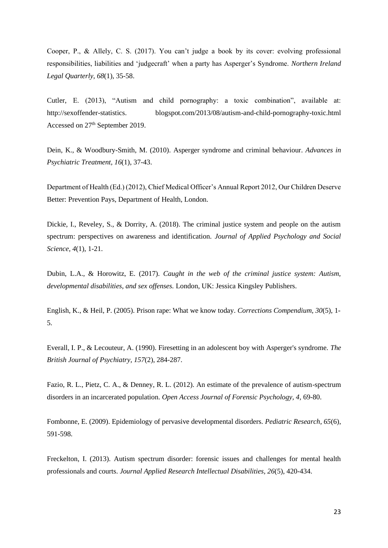Cooper, P., & Allely, C. S. (2017). You can't judge a book by its cover: evolving professional responsibilities, liabilities and 'judgecraft' when a party has Asperger's Syndrome. *Northern Ireland Legal Quarterly, 68*(1), 35-58.

Cutler, E. (2013), "Autism and child pornography: a toxic combination", available at: http://sexoffender-statistics. blogspot.com/2013/08/autism-and-child-pornography-toxic.html Accessed on 27th September 2019.

Dein, K., & Woodbury-Smith, M. (2010). Asperger syndrome and criminal behaviour. *Advances in Psychiatric Treatment, 16*(1), 37-43.

Department of Health (Ed.) (2012), Chief Medical Officer's Annual Report 2012, Our Children Deserve Better: Prevention Pays, Department of Health, London.

Dickie, I., Reveley, S., & Dorrity, A. (2018). The criminal justice system and people on the autism spectrum: perspectives on awareness and identification. *Journal of Applied Psychology and Social Science, 4*(1), 1-21.

Dubin, L.A., & Horowitz, E. (2017). *Caught in the web of the criminal justice system: Autism, developmental disabilities, and sex offenses.* London, UK: Jessica Kingsley Publishers.

English, K., & Heil, P. (2005). Prison rape: What we know today. *Corrections Compendium, 30*(5), 1- 5.

Everall, I. P., & Lecouteur, A. (1990). Firesetting in an adolescent boy with Asperger's syndrome. *The British Journal of Psychiatry, 157*(2), 284-287.

Fazio, R. L., Pietz, C. A., & Denney, R. L. (2012). An estimate of the prevalence of autism-spectrum disorders in an incarcerated population. *Open Access Journal of Forensic Psychology, 4,* 69-80.

Fombonne, E. (2009). Epidemiology of pervasive developmental disorders. *Pediatric Research, 65*(6), 591-598.

Freckelton, I. (2013). Autism spectrum disorder: forensic issues and challenges for mental health professionals and courts. *Journal Applied Research Intellectual Disabilities, 26*(5), 420-434.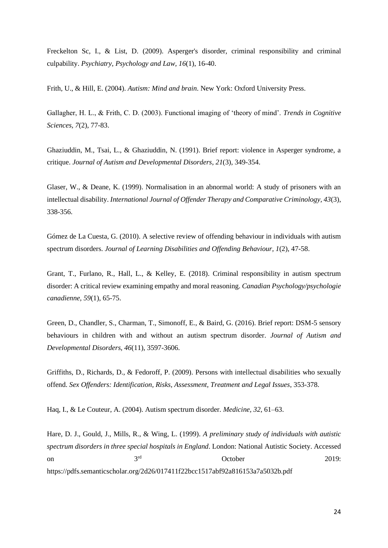Freckelton Sc, I., & List, D. (2009). Asperger's disorder, criminal responsibility and criminal culpability. *Psychiatry, Psychology and Law, 16*(1), 16-40.

Frith, U., & Hill, E. (2004). *Autism: Mind and brain*. New York: Oxford University Press.

Gallagher, H. L., & Frith, C. D. (2003). Functional imaging of 'theory of mind'. *Trends in Cognitive Sciences, 7*(2), 77-83.

Ghaziuddin, M., Tsai, L., & Ghaziuddin, N. (1991). Brief report: violence in Asperger syndrome, a critique. *Journal of Autism and Developmental Disorders*, *21*(3), 349-354.

Glaser, W., & Deane, K. (1999). Normalisation in an abnormal world: A study of prisoners with an intellectual disability. *International Journal of Offender Therapy and Comparative Criminology, 43*(3), 338-356.

Gómez de La Cuesta, G. (2010). A selective review of offending behaviour in individuals with autism spectrum disorders. *Journal of Learning Disabilities and Offending Behaviour, 1*(2), 47-58.

Grant, T., Furlano, R., Hall, L., & Kelley, E. (2018). Criminal responsibility in autism spectrum disorder: A critical review examining empathy and moral reasoning. *Canadian Psychology/psychologie canadienne, 59*(1), 65-75.

Green, D., Chandler, S., Charman, T., Simonoff, E., & Baird, G. (2016). Brief report: DSM-5 sensory behaviours in children with and without an autism spectrum disorder. *Journal of Autism and Developmental Disorders, 46*(11), 3597-3606.

Griffiths, D., Richards, D., & Fedoroff, P. (2009). Persons with intellectual disabilities who sexually offend. *Sex Offenders: Identification, Risks, Assessment, Treatment and Legal Issues*, 353-378.

Haq, I., & Le Couteur, A. (2004). Autism spectrum disorder. *Medicine, 32*, 61–63.

Hare, D. J., Gould, J., Mills, R., & Wing, L. (1999). *A preliminary study of individuals with autistic spectrum disorders in three special hospitals in England*. London: National Autistic Society. Accessed on 3<sup>rd</sup> 3<sup>rd</sup> October 2019: https://pdfs.semanticscholar.org/2d26/017411f22bcc1517abf92a816153a7a5032b.pdf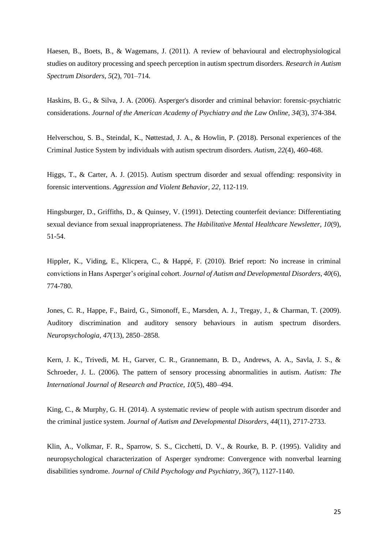Haesen, B., Boets, B., & Wagemans, J. (2011). A review of behavioural and electrophysiological studies on auditory processing and speech perception in autism spectrum disorders. *Research in Autism Spectrum Disorders, 5*(2), 701–714.

Haskins, B. G., & Silva, J. A. (2006). Asperger's disorder and criminal behavior: forensic-psychiatric considerations. *Journal of the American Academy of Psychiatry and the Law Online, 34*(3), 374-384.

Helverschou, S. B., Steindal, K., Nøttestad, J. A., & Howlin, P. (2018). Personal experiences of the Criminal Justice System by individuals with autism spectrum disorders. *Autism, 22*(4), 460-468.

Higgs, T., & Carter, A. J. (2015). Autism spectrum disorder and sexual offending: responsivity in forensic interventions. *Aggression and Violent Behavior, 22,* 112-119.

Hingsburger, D., Griffiths, D., & Quinsey, V. (1991). Detecting counterfeit deviance: Differentiating sexual deviance from sexual inappropriateness. *The Habilitative Mental Healthcare Newsletter, 10*(9), 51-54.

Hippler, K., Viding, E., Klicpera, C., & Happé, F. (2010). Brief report: No increase in criminal convictions in Hans Asperger's original cohort. *Journal of Autism and Developmental Disorders, 40*(6), 774-780.

Jones, C. R., Happe, F., Baird, G., Simonoff, E., Marsden, A. J., Tregay, J., & Charman, T. (2009). Auditory discrimination and auditory sensory behaviours in autism spectrum disorders. *Neuropsychologia, 47*(13), 2850–2858.

Kern, J. K., Trivedi, M. H., Garver, C. R., Grannemann, B. D., Andrews, A. A., Savla, J. S., & Schroeder, J. L. (2006). The pattern of sensory processing abnormalities in autism. *Autism: The International Journal of Research and Practice, 10*(5), 480–494.

King, C., & Murphy, G. H. (2014). A systematic review of people with autism spectrum disorder and the criminal justice system. *Journal of Autism and Developmental Disorders*, *44*(11), 2717-2733.

Klin, A., Volkmar, F. R., Sparrow, S. S., Cicchetti, D. V., & Rourke, B. P. (1995). Validity and neuropsychological characterization of Asperger syndrome: Convergence with nonverbal learning disabilities syndrome. *Journal of Child Psychology and Psychiatry*, *36*(7), 1127-1140.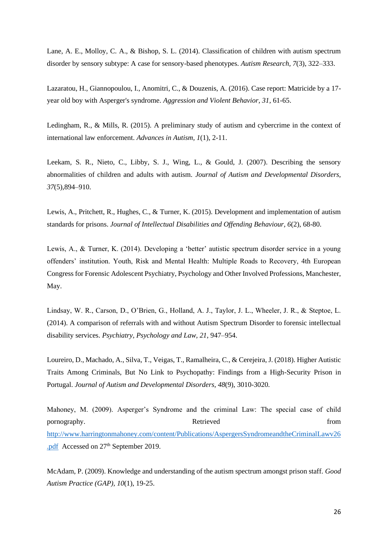Lane, A. E., Molloy, C. A., & Bishop, S. L. (2014). Classification of children with autism spectrum disorder by sensory subtype: A case for sensory-based phenotypes. *Autism Research, 7*(3), 322–333.

Lazaratou, H., Giannopoulou, I., Anomitri, C., & Douzenis, A. (2016). Case report: Matricide by a 17 year old boy with Asperger's syndrome. *Aggression and Violent Behavior, 31,* 61-65.

Ledingham, R., & Mills, R. (2015). A preliminary study of autism and cybercrime in the context of international law enforcement. *Advances in Autism, 1*(1), 2-11.

Leekam, S. R., Nieto, C., Libby, S. J., Wing, L., & Gould, J. (2007). Describing the sensory abnormalities of children and adults with autism. *Journal of Autism and Developmental Disorders, 37*(5),894–910.

Lewis, A., Pritchett, R., Hughes, C., & Turner, K. (2015). Development and implementation of autism standards for prisons. *Journal of Intellectual Disabilities and Offending Behaviour, 6*(2), 68-80.

Lewis, A., & Turner, K. (2014). Developing a 'better' autistic spectrum disorder service in a young offenders' institution. Youth, Risk and Mental Health: Multiple Roads to Recovery, 4th European Congress for Forensic Adolescent Psychiatry, Psychology and Other Involved Professions, Manchester, May.

Lindsay, W. R., Carson, D., O'Brien, G., Holland, A. J., Taylor, J. L., Wheeler, J. R., & Steptoe, L. (2014). A comparison of referrals with and without Autism Spectrum Disorder to forensic intellectual disability services. *Psychiatry, Psychology and Law, 21*, 947–954.

Loureiro, D., Machado, A., Silva, T., Veigas, T., Ramalheira, C., & Cerejeira, J. (2018). Higher Autistic Traits Among Criminals, But No Link to Psychopathy: Findings from a High-Security Prison in Portugal. *Journal of Autism and Developmental Disorders, 48*(9), 3010-3020.

Mahoney, M. (2009). Asperger's Syndrome and the criminal Law: The special case of child pornography. Retrieved from  $\alpha$ [http://www.harringtonmahoney.com/content/Publications/AspergersSyndromeandtheCriminalLawv26](http://www.harringtonmahoney.com/content/Publications/AspergersSyndromeandtheCriminalLawv26.pdf) [.pdf](http://www.harringtonmahoney.com/content/Publications/AspergersSyndromeandtheCriminalLawv26.pdf) Accessed on 27<sup>th</sup> September 2019.

McAdam, P. (2009). Knowledge and understanding of the autism spectrum amongst prison staff. *Good Autism Practice (GAP), 10*(1), 19-25.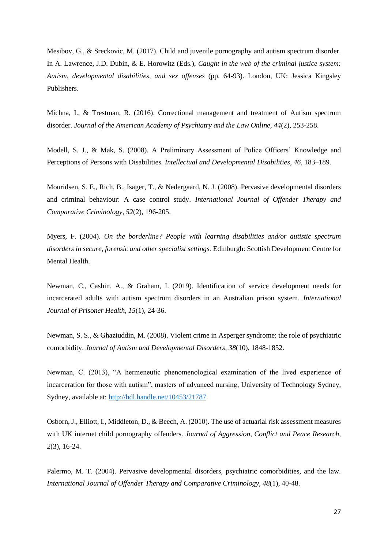Mesibov, G., & Sreckovic, M. (2017). Child and juvenile pornography and autism spectrum disorder. In A. Lawrence, J.D. Dubin, & E. Horowitz (Eds.), *Caught in the web of the criminal justice system: Autism, developmental disabilities, and sex offenses* (pp. 64-93). London, UK: Jessica Kingsley Publishers.

Michna, I., & Trestman, R. (2016). Correctional management and treatment of Autism spectrum disorder. *Journal of the American Academy of Psychiatry and the Law Online, 44*(2), 253-258.

Modell, S. J., & Mak, S. (2008). A Preliminary Assessment of Police Officers' Knowledge and Perceptions of Persons with Disabilities*. Intellectual and Developmental Disabilities, 46,* 183–189.

Mouridsen, S. E., Rich, B., Isager, T., & Nedergaard, N. J. (2008). Pervasive developmental disorders and criminal behaviour: A case control study. *International Journal of Offender Therapy and Comparative Criminology, 52*(2), 196-205.

Myers, F. (2004). *On the borderline? People with learning disabilities and/or autistic spectrum disorders in secure, forensic and other specialist settings.* Edinburgh: Scottish Development Centre for Mental Health.

Newman, C., Cashin, A., & Graham, I. (2019). Identification of service development needs for incarcerated adults with autism spectrum disorders in an Australian prison system. *International Journal of Prisoner Health, 15*(1), 24-36.

Newman, S. S., & Ghaziuddin, M. (2008). Violent crime in Asperger syndrome: the role of psychiatric comorbidity. *Journal of Autism and Developmental Disorders, 38*(10), 1848-1852.

Newman, C. (2013), "A hermeneutic phenomenological examination of the lived experience of incarceration for those with autism", masters of advanced nursing, University of Technology Sydney, Sydney, available at: [http://hdl.handle.net/10453/21787.](http://hdl.handle.net/10453/21787)

Osborn, J., Elliott, I., Middleton, D., & Beech, A. (2010). The use of actuarial risk assessment measures with UK internet child pornography offenders. *Journal of Aggression, Conflict and Peace Research, 2*(3), 16-24.

Palermo, M. T. (2004). Pervasive developmental disorders, psychiatric comorbidities, and the law. *International Journal of Offender Therapy and Comparative Criminology, 48*(1), 40-48.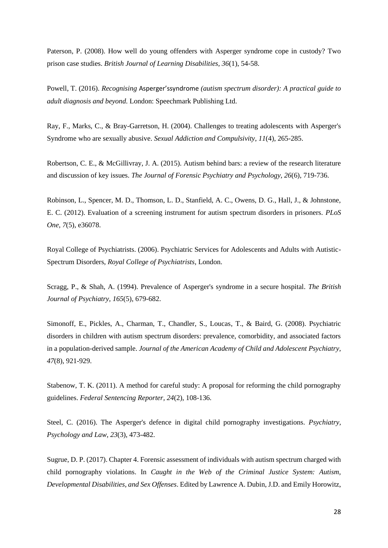Paterson, P. (2008). How well do young offenders with Asperger syndrome cope in custody? Two prison case studies. *British Journal of Learning Disabilities, 36*(1), 54-58.

Powell, T. (2016). *Recognising* Asperger'ssyndrome *(autism spectrum disorder): A practical guide to adult diagnosis and beyond*. London: Speechmark Publishing Ltd.

Ray, F., Marks, C., & Bray-Garretson, H. (2004). Challenges to treating adolescents with Asperger's Syndrome who are sexually abusive. *Sexual Addiction and Compulsivity*, *11*(4), 265-285.

Robertson, C. E., & McGillivray, J. A. (2015). Autism behind bars: a review of the research literature and discussion of key issues. *The Journal of Forensic Psychiatry and Psychology, 26*(6), 719-736.

Robinson, L., Spencer, M. D., Thomson, L. D., Stanfield, A. C., Owens, D. G., Hall, J., & Johnstone, E. C. (2012). Evaluation of a screening instrument for autism spectrum disorders in prisoners. *PLoS One, 7*(5), e36078.

Royal College of Psychiatrists. (2006). Psychiatric Services for Adolescents and Adults with Autistic-Spectrum Disorders, *Royal College of Psychiatrists,* London.

Scragg, P., & Shah, A. (1994). Prevalence of Asperger's syndrome in a secure hospital. *The British Journal of Psychiatry, 165*(5), 679-682.

Simonoff, E., Pickles, A., Charman, T., Chandler, S., Loucas, T., & Baird, G. (2008). Psychiatric disorders in children with autism spectrum disorders: prevalence, comorbidity, and associated factors in a population-derived sample. *Journal of the American Academy of Child and Adolescent Psychiatry, 47*(8), 921-929.

Stabenow, T. K. (2011). A method for careful study: A proposal for reforming the child pornography guidelines. *Federal Sentencing Reporter, 24*(2), 108-136.

Steel, C. (2016). The Asperger's defence in digital child pornography investigations. *Psychiatry, Psychology and Law, 23*(3), 473-482.

Sugrue, D. P. (2017). Chapter 4. Forensic assessment of individuals with autism spectrum charged with child pornography violations. In *Caught in the Web of the Criminal Justice System: Autism, Developmental Disabilities, and Sex Offenses*. Edited by Lawrence A. Dubin, J.D. and Emily Horowitz,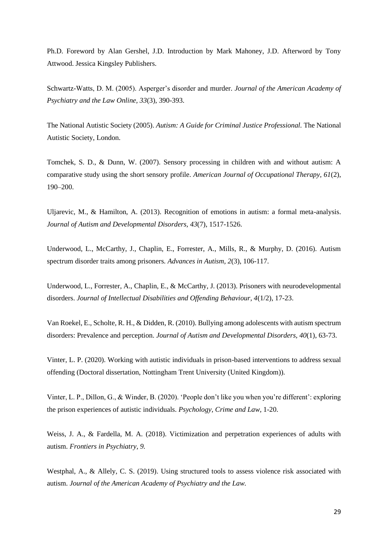Ph.D. Foreword by Alan Gershel, J.D. Introduction by Mark Mahoney, J.D. Afterword by Tony Attwood. Jessica Kingsley Publishers.

Schwartz-Watts, D. M. (2005). Asperger's disorder and murder. *Journal of the American Academy of Psychiatry and the Law Online, 33*(3), 390-393.

The National Autistic Society (2005). *Autism: A Guide for Criminal Justice Professional.* The National Autistic Society, London.

Tomchek, S. D., & Dunn, W. (2007). Sensory processing in children with and without autism: A comparative study using the short sensory profile. *American Journal of Occupational Therapy, 61*(2), 190–200.

Uljarevic, M., & Hamilton, A. (2013). Recognition of emotions in autism: a formal meta-analysis. *Journal of Autism and Developmental Disorders, 43*(7), 1517-1526.

Underwood, L., McCarthy, J., Chaplin, E., Forrester, A., Mills, R., & Murphy, D. (2016). Autism spectrum disorder traits among prisoners. *Advances in Autism, 2*(3), 106-117.

Underwood, L., Forrester, A., Chaplin, E., & McCarthy, J. (2013). Prisoners with neurodevelopmental disorders. *Journal of Intellectual Disabilities and Offending Behaviour, 4*(1/2), 17-23.

Van Roekel, E., Scholte, R. H., & Didden, R. (2010). Bullying among adolescents with autism spectrum disorders: Prevalence and perception. *Journal of Autism and Developmental Disorders, 40*(1), 63-73.

Vinter, L. P. (2020). Working with autistic individuals in prison-based interventions to address sexual offending (Doctoral dissertation, Nottingham Trent University (United Kingdom)).

Vinter, L. P., Dillon, G., & Winder, B. (2020). 'People don't like you when you're different': exploring the prison experiences of autistic individuals. *Psychology, Crime and Law,* 1-20.

Weiss, J. A., & Fardella, M. A. (2018). Victimization and perpetration experiences of adults with autism. *Frontiers in Psychiatry, 9.*

Westphal, A., & Allely, C. S. (2019). Using structured tools to assess violence risk associated with autism. *Journal of the American Academy of Psychiatry and the Law.*